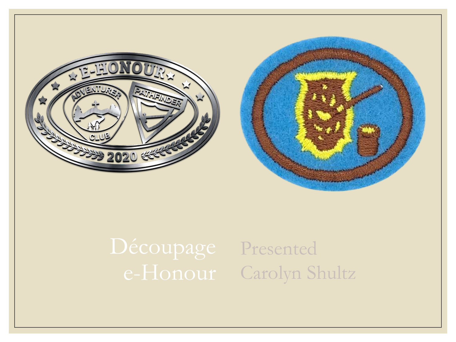



# Découpage Presented

# e-Honour Carolyn Shultz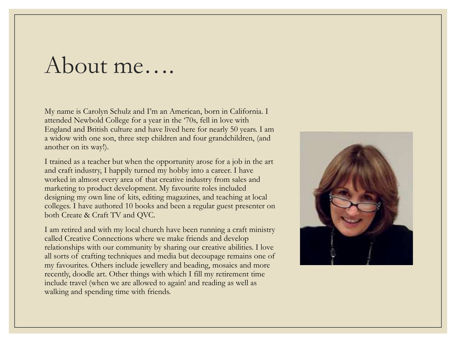### About me….

My name is Carolyn Schulz and I'm an American, born in California. I attended Newbold College for a year in the '70s, fell in love with England and British culture and have lived here for nearly 50 years. I am a widow with one son, three step children and four grandchildren, (and another on its way!).

I trained as a teacher but when the opportunity arose for a job in the art and craft industry, I happily turned my hobby into a career. I have worked in almost every area of that creative industry from sales and marketing to product development. My favourite roles included designing my own line of kits, editing magazines, and teaching at local colleges. I have authored 10 books and been a regular guest presenter on both Create & Craft TV and QVC.

I am retired and with my local church have been running a craft ministry called Creative Connections where we make friends and develop relationships with our community by sharing our creative abilities. I love all sorts of crafting techniques and media but decoupage remains one of my favourites. Others include jewellery and beading, mosaics and more recently, doodle art. Other things with which I fill my retirement time include travel (when we are allowed to again! and reading as well as walking and spending time with friends.

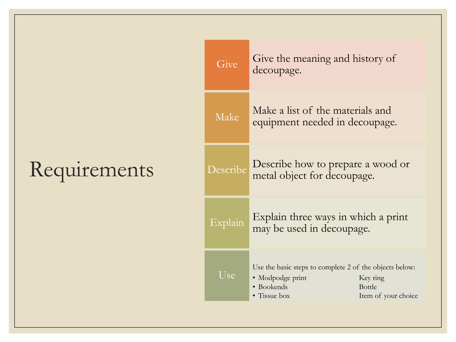## Requirements

| Give        | Give the meaning and history of<br>decoupage.                                                                    |                                           |
|-------------|------------------------------------------------------------------------------------------------------------------|-------------------------------------------|
| <b>Make</b> | Make a list of the materials and<br>equipment needed in decoupage.                                               |                                           |
| Describe    | Describe how to prepare a wood or<br>metal object for decoupage.                                                 |                                           |
| Explain     | Explain three ways in which a print<br>may be used in decoupage.                                                 |                                           |
| Use         | Use the basic steps to complete 2 of the objects below:<br>Modpodge print<br>$\bullet$<br>Bookends<br>Tissue box | Key ring<br>Bottle<br>Item of your choice |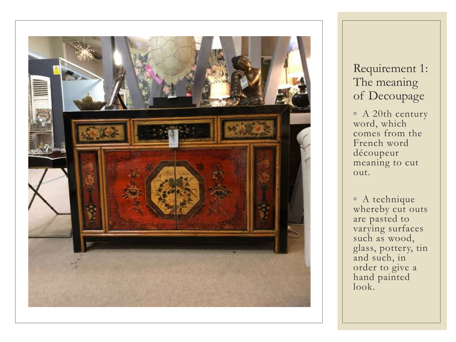

#### Requirement 1: The meaning of Decoupage

◦ A 20th century word, which comes from the French word découpeur meaning to cut out.

◦ A technique whereby cut outs are pasted to varying surfaces such as wood, glass, pottery, tin and such, in order to give a hand painted look.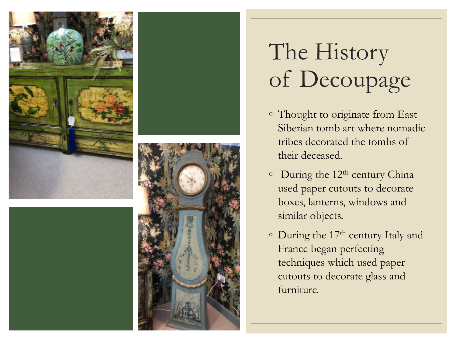



# The History of Decoupage

- Thought to originate from East Siberian tomb art where nomadic tribes decorated the tombs of their deceased.
- During the 12<sup>th</sup> century China used paper cutouts to decorate boxes, lanterns, windows and similar objects.
- During the 17th century Italy and France began perfecting techniques which used paper cutouts to decorate glass and furniture.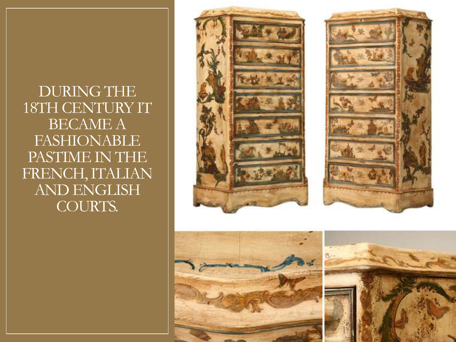DURING THE 18TH CENTURY IT BECAME A FASHIONABLE PASTIME IN THE FRENCH, ITALIAN AND ENGLISH COURTS.



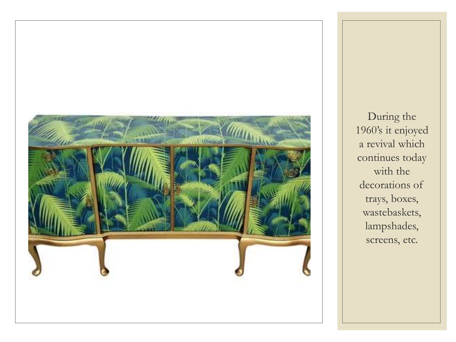

During the 1960's it enjoyed a revival which continues today with the decorations of trays, boxes, wastebaskets, lampshades, screens, etc.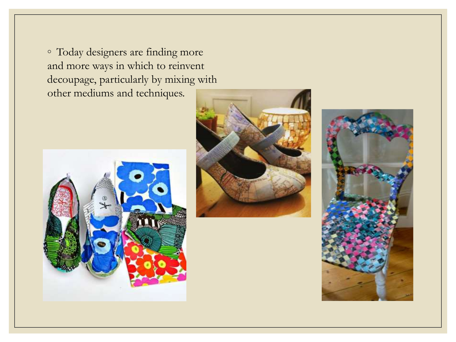◦ Today designers are finding more and more ways in which to reinvent decoupage, particularly by mixing with other mediums and techniques.



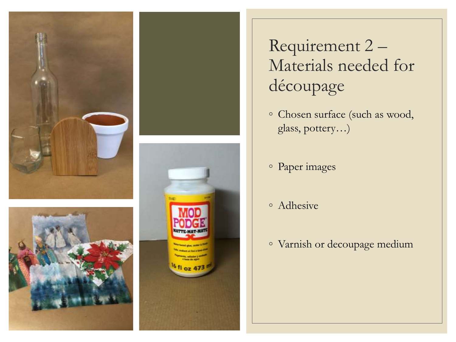





### Requirement 2 – Materials needed for découpage

- Chosen surface (such as wood, glass, pottery…)
- Paper images
- Adhesive
- Varnish or decoupage medium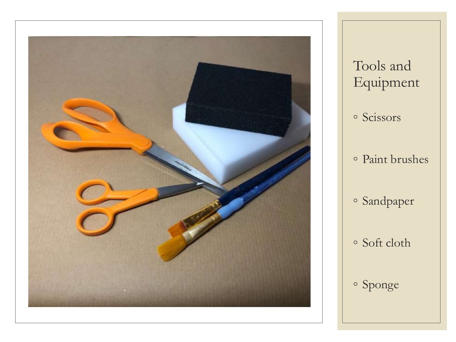

Tools and Equipment ◦ Scissors ◦ Paint brushes

◦ Sandpaper

◦ Soft cloth

◦ Sponge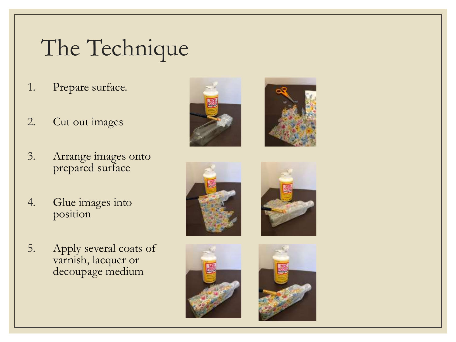### The Technique

- 1. Prepare surface.
- 2. Cut out images
- 3. Arrange images onto prepared surface
- 4. Glue images into position
- 5. Apply several coats of varnish, lacquer or decoupage medium









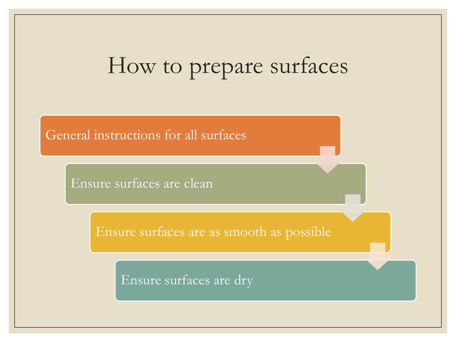### How to prepare surfaces

General instructions for all surfaces

Ensure surfaces are clean

Ensure surfaces are as smooth as possible

Ensure surfaces are dry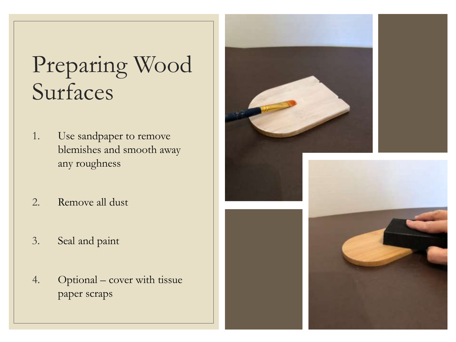### Preparing Wood Surfaces

- 1. Use sandpaper to remove blemishes and smooth away any roughness
- 2. Remove all dust
- 3. Seal and paint
- 4. Optional cover with tissue paper scraps

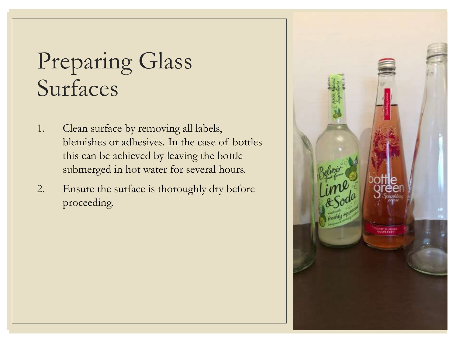### Preparing Glass Surfaces

- 1. Clean surface by removing all labels, blemishes or adhesives. In the case of bottles this can be achieved by leaving the bottle submerged in hot water for several hours.
- 2. Ensure the surface is thoroughly dry before proceeding.

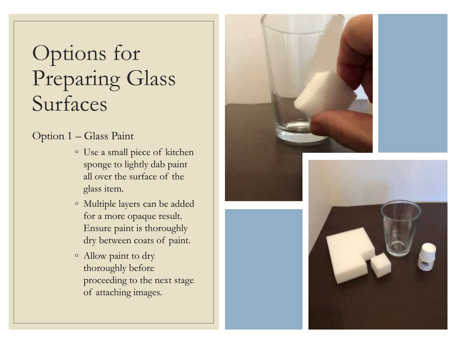### Options for Preparing Glass Surfaces

#### Option 1 – Glass Paint

- Use a small piece of kitchen sponge to lightly dab paint all over the surface of the glass item.
- Multiple layers can be added for a more opaque result. Ensure paint is thoroughly dry between coats of paint.
- Allow paint to dry thoroughly before proceeding to the next stage of attaching images.





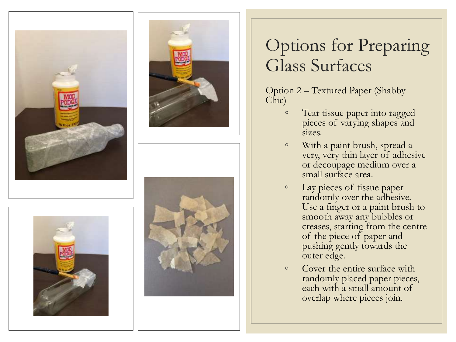







### Options for Preparing Glass Surfaces

Option 2 – Textured Paper (Shabby Chic)

- Tear tissue paper into ragged pieces of varying shapes and sizes.
- With a paint brush, spread a very, very thin layer of adhesive or decoupage medium over a small surface area.
- Lay pieces of tissue paper randomly over the adhesive. Use a finger or a paint brush to smooth away any bubbles or creases, starting from the centre of the piece of paper and pushing gently towards the outer edge.
- Cover the entire surface with randomly placed paper pieces, each with a small amount of overlap where pieces join.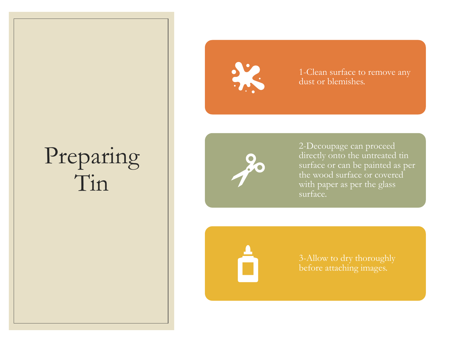## Preparing Tin



1-Clean surface to remove any dust or blemishes.



2-Decoupage can proceed directly onto the untreated tin surface or can be painted as per the wood surface or covered with paper as per the glass surface.

3-Allow to dry thoroughly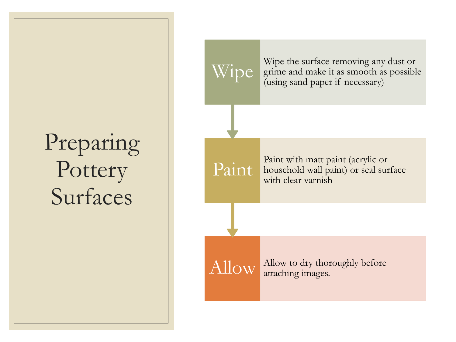## Preparing **Pottery** Surfaces

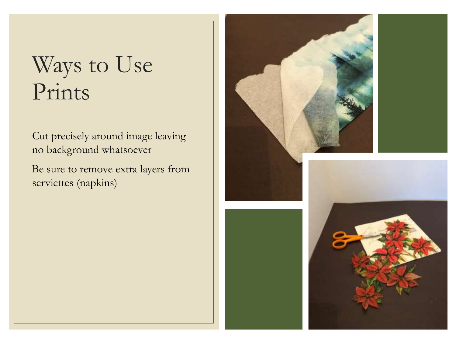## Ways to Use Prints

Cut precisely around image leaving no background whatsoever

Be sure to remove extra layers from serviettes (napkins)

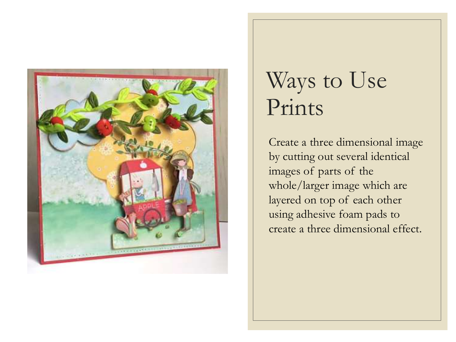

### Ways to Use Prints

Create a three dimensional image by cutting out several identical images of parts of the whole/larger image which are layered on top of each other using adhesive foam pads to create a three dimensional effect.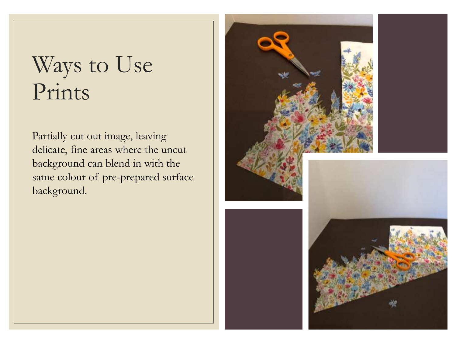### Ways to Use Prints

Partially cut out image, leaving delicate, fine areas where the uncut background can blend in with the same colour of pre-prepared surface background.

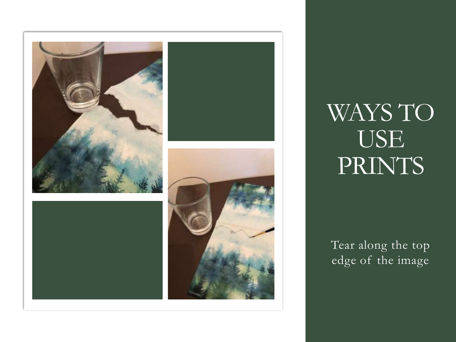

WAYS TO USE PRINTS

Tear along the top edge of the image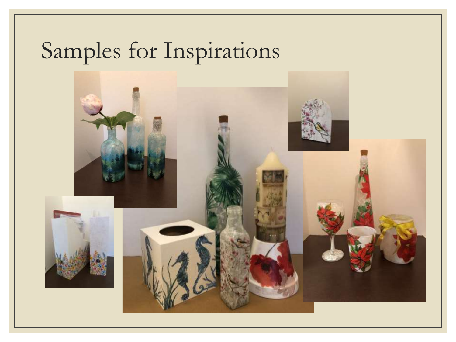# Samples for Inspirations

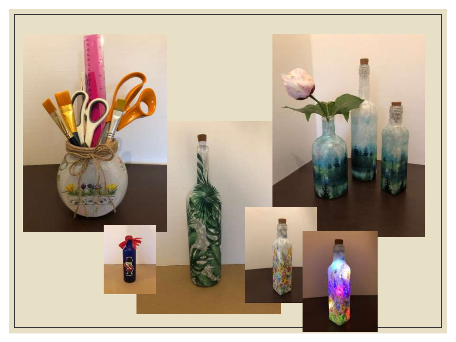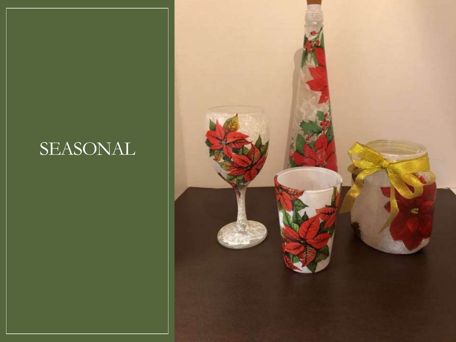### SEASONAL

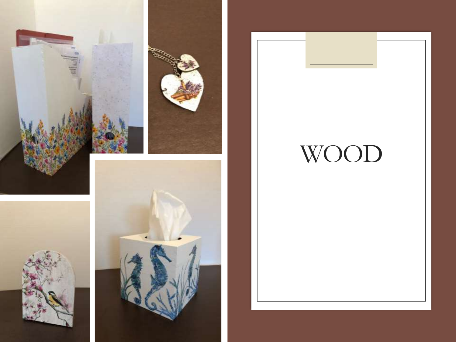







### WOOD